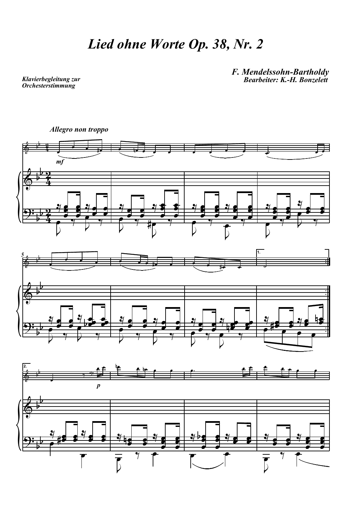## Lied ohne Worte Op. 38, Nr. 2

Klavierbegleitung zur<br>Orchesterstimmung

F. Mendelssohn-Bartholdy Klavierbegleitung zur **Bearbeiter: K.-H. Bonzelett** 

B





e e e e e e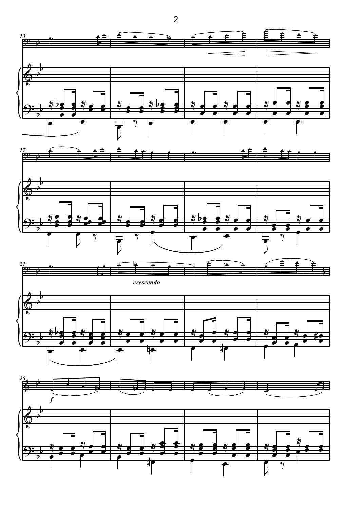

2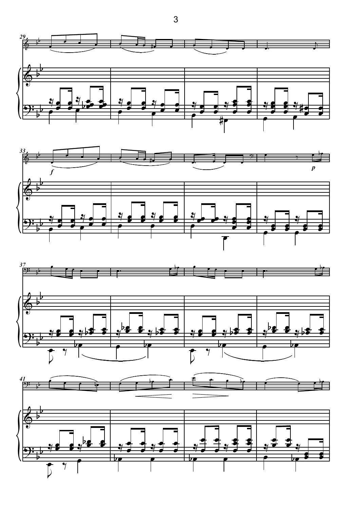







3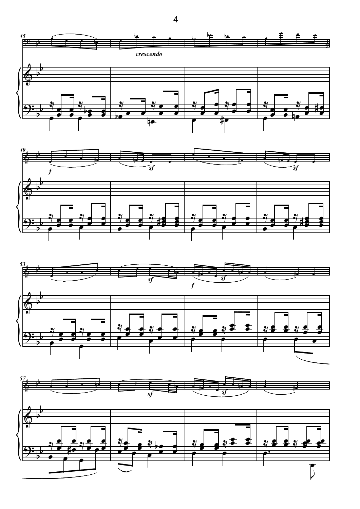